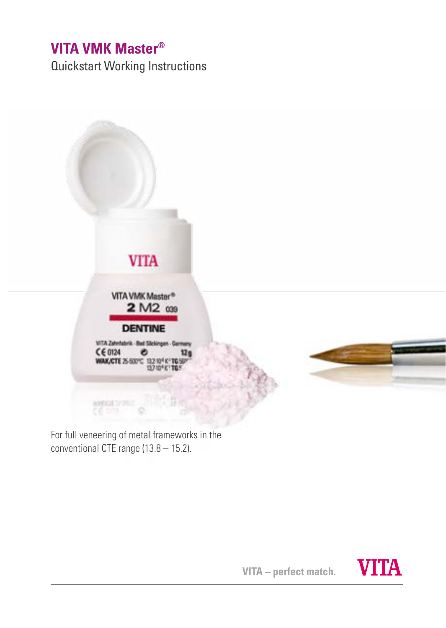## **VITA VMK Master®**

Quickstart Working Instructions



For full veneering of metal frameworks in the conventional CTE range (13.8 – 15.2).

**VITA – perfect match.**

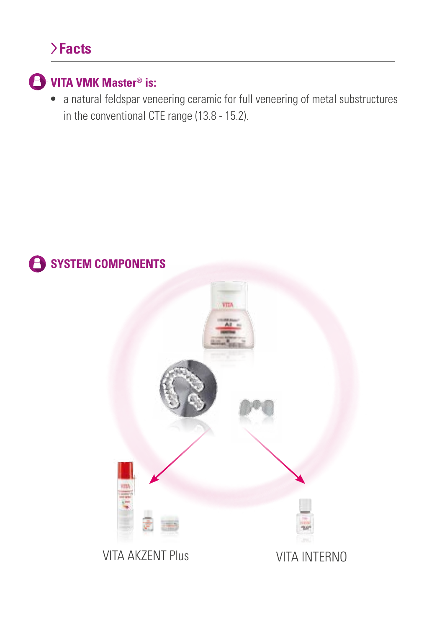# **Facts**



**•** a natural feldspar veneering ceramic for full veneering of metal substructures in the conventional CTE range (13.8 - 15.2).

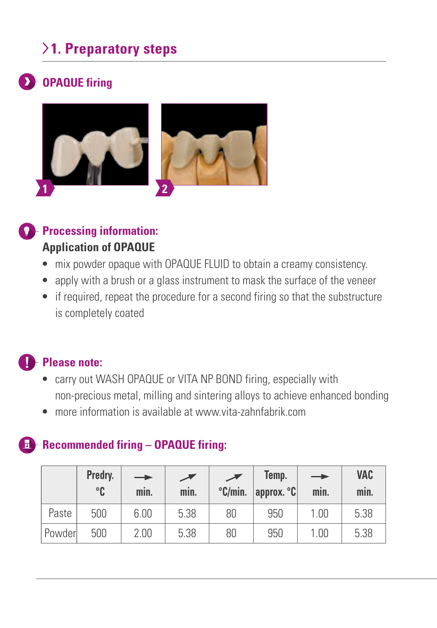## **1. Preparatory steps**

## **OPAQUE firing**



**Processing information: Application of OPAQUE**

- **•** mix powder opaque with OPAQUE FLUID to obtain a creamy consistency.
- **•** apply with a brush or a glass instrument to mask the surface of the veneer
- **•** if required, repeat the procedure for a second firing so that the substructure is completely coated

### **Please note:**

- **•** carry out WASH OPAQUE or VITA NP BOND firing, especially with non-precious metal, milling and sintering alloys to achieve enhanced bonding
- **•** more information is available at www.vita-zahnfabrik.com

### **Recommended firing – OPAQUE firing:**

|         | Predry.<br>$^{\circ}$ C | $\rightarrow$<br>min. | min. | $\degree$ C/min. | Temp.<br>approx. °C | $\rightarrow$<br>min. | VAC<br>min. |
|---------|-------------------------|-----------------------|------|------------------|---------------------|-----------------------|-------------|
| Paste   | 500                     | 6.00                  | 5.38 | 80               | 950                 | 1.00                  | 5.38        |
| Powderl | 500                     | 2.00                  | 5.38 | 80               | 950                 | 1.00                  | 5.38        |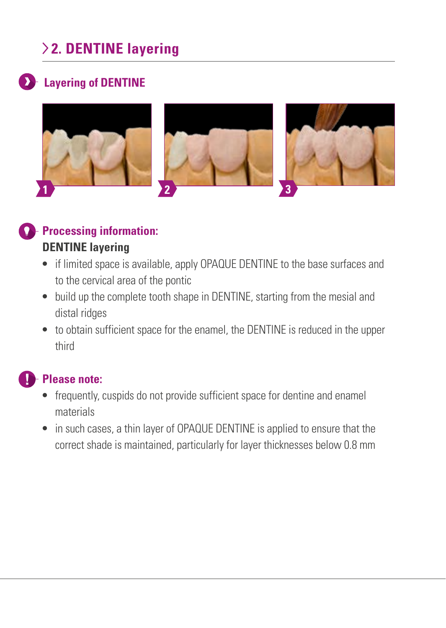# **2. DENTINE layering**

### **Layering of DENTINE**



### **Processing information: DENTINE layering**

- **•** if limited space is available, apply OPAQUE DENTINE to the base surfaces and to the cervical area of the pontic
- **•** build up the complete tooth shape in DENTINE, starting from the mesial and distal ridges
- **•** to obtain sufficient space for the enamel, the DENTINE is reduced in the upper third

### **Please note:**

- **•** frequently, cuspids do not provide sufficient space for dentine and enamel materials
- **•** in such cases, a thin layer of OPAQUE DENTINE is applied to ensure that the correct shade is maintained, particularly for layer thicknesses below 0.8 mm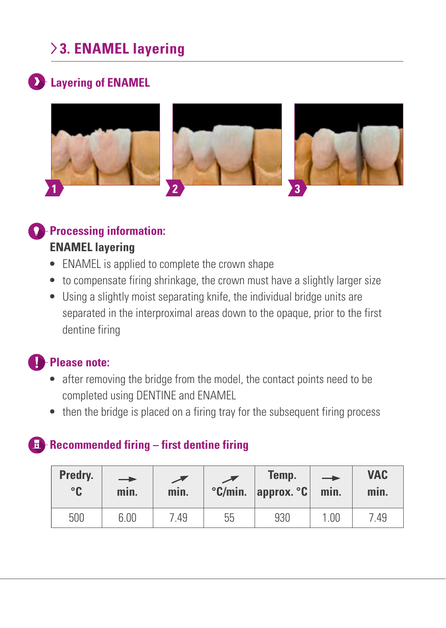# **3. ENAMEL layering**

## **Layering of ENAMEL**



## **Processing information:**

#### **ENAMEL layering**

- **•** ENAMEL is applied to complete the crown shape
- to compensate firing shrinkage, the crown must have a slightly larger size
- **•** Using a slightly moist separating knife, the individual bridge units are separated in the interproximal areas down to the opaque, prior to the first dentine firing

## **Please note:**

- **•** after removing the bridge from the model, the contact points need to be completed using DENTINE and ENAMEL
- then the bridge is placed on a firing tray for the subsequent firing process

## **Recommended firing – first dentine firing**

| Predry.<br>°C | $\rightarrow$<br>min. | min. | $\degree$ C/min. | Temp.<br>$ $ approx. $°C$ | $\rightarrow$<br>min. | <b>VAC</b><br>min. |
|---------------|-----------------------|------|------------------|---------------------------|-----------------------|--------------------|
| 500           | 6.00                  | .49  | 55               | 930                       | 1.00                  | '.49               |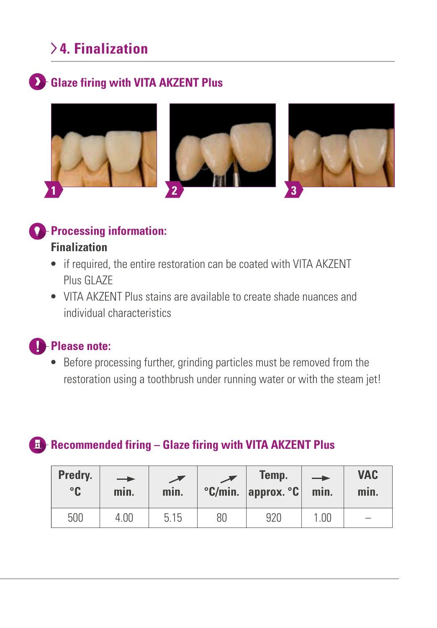## **4. Finalization**

### **Collaze firing with VITA AKZENT Plus**



### **Processing information:**

#### **Finalization**

- **•** if required, the entire restoration can be coated with VITA AKZENT Plus GLAZE
- **•** VITA AKZENT Plus stains are available to create shade nuances and individual characteristics

## **C**-Please note:

**•** Before processing further, grinding particles must be removed from the restoration using a toothbrush under running water or with the steam jet!

### **Recommended firing – Glaze firing with VITA AKZENT Plus**

| Predry.<br>°C | -<br>min. | min. |    | Temp.<br>$°C/min.$ approx. $°C$ | $\rightarrow$<br>min. | <b>VAC</b><br>min.       |
|---------------|-----------|------|----|---------------------------------|-----------------------|--------------------------|
| 500           | 4.00      | 5.15 | 80 | 920                             | 1.00                  | $\overline{\phantom{0}}$ |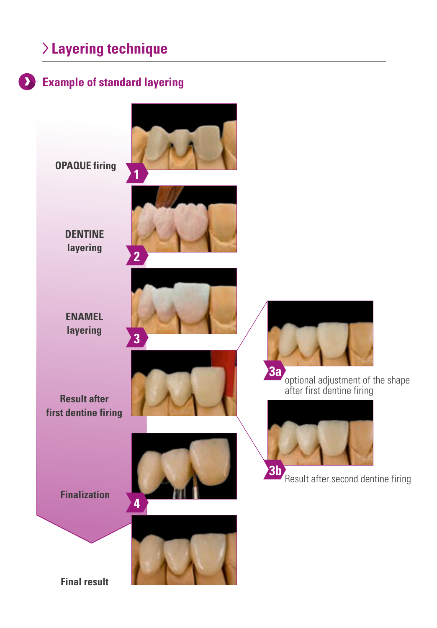## **Layering technique**

### **Example of standard layering**